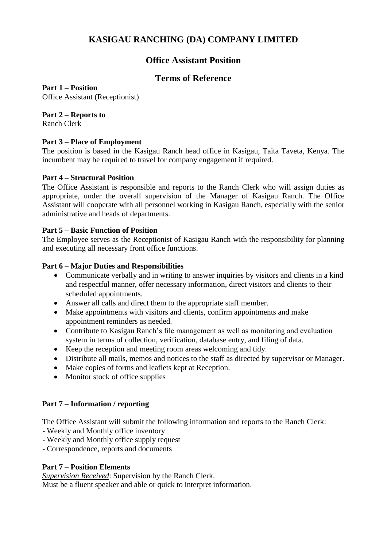# **KASIGAU RANCHING (DA) COMPANY LIMITED**

## **Office Assistant Position**

### **Terms of Reference**

**Part 1 – Position**

Office Assistant (Receptionist)

**Part 2 – Reports to**

Ranch Clerk

### **Part 3 – Place of Employment**

The position is based in the Kasigau Ranch head office in Kasigau, Taita Taveta, Kenya. The incumbent may be required to travel for company engagement if required.

### **Part 4 – Structural Position**

The Office Assistant is responsible and reports to the Ranch Clerk who will assign duties as appropriate, under the overall supervision of the Manager of Kasigau Ranch. The Office Assistant will cooperate with all personnel working in Kasigau Ranch, especially with the senior administrative and heads of departments.

### **Part 5 – Basic Function of Position**

The Employee serves as the Receptionist of Kasigau Ranch with the responsibility for planning and executing all necessary front office functions.

### **Part 6 – Major Duties and Responsibilities**

- Communicate verbally and in writing to answer inquiries by visitors and clients in a kind and respectful manner, offer necessary information, direct visitors and clients to their scheduled appointments.
- Answer all calls and direct them to the appropriate staff member.
- Make appointments with visitors and clients, confirm appointments and make appointment reminders as needed.
- Contribute to Kasigau Ranch's file management as well as monitoring and evaluation system in terms of collection, verification, database entry, and filing of data.
- Keep the reception and meeting room areas welcoming and tidy.
- Distribute all mails, memos and notices to the staff as directed by supervisor or Manager.
- Make copies of forms and leaflets kept at Reception.
- Monitor stock of office supplies

### **Part 7 – Information / reporting**

The Office Assistant will submit the following information and reports to the Ranch Clerk:

- Weekly and Monthly office inventory
- Weekly and Monthly office supply request
- Correspondence, reports and documents

### **Part 7 – Position Elements**

*Supervision Received*: Supervision by the Ranch Clerk.

Must be a fluent speaker and able or quick to interpret information.